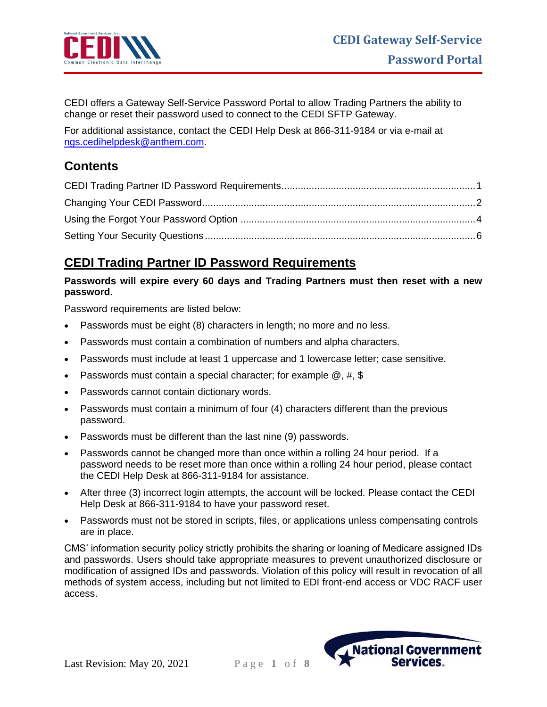

CEDI offers a Gateway Self-Service Password Portal to allow Trading Partners the ability to change or reset their password used to connect to the CEDI SFTP Gateway.

For additional assistance, contact the CEDI Help Desk at 866-311-9184 or via e-mail at [ngs.cedihelpdesk@anthem.com.](mailto:ngs.cedihelpdesk@anthem.com)

# **Contents**

## <span id="page-0-0"></span>**CEDI Trading Partner ID Password Requirements**

#### **Passwords will expire every 60 days and Trading Partners must then reset with a new password**.

Password requirements are listed below:

- Passwords must be eight (8) characters in length; no more and no less.
- Passwords must contain a combination of numbers and alpha characters.
- Passwords must include at least 1 uppercase and 1 lowercase letter; case sensitive.
- Passwords must contain a special character; for example  $@$ , #, \$
- Passwords cannot contain dictionary words.
- Passwords must contain a minimum of four (4) characters different than the previous password.
- Passwords must be different than the last nine (9) passwords.
- Passwords cannot be changed more than once within a rolling 24 hour period. If a password needs to be reset more than once within a rolling 24 hour period, please contact the CEDI Help Desk at 866-311-9184 for assistance.
- After three (3) incorrect login attempts, the account will be locked. Please contact the CEDI Help Desk at 866-311-9184 to have your password reset.
- Passwords must not be stored in scripts, files, or applications unless compensating controls are in place.

CMS' information security policy strictly prohibits the sharing or loaning of Medicare assigned IDs and passwords. Users should take appropriate measures to prevent unauthorized disclosure or modification of assigned IDs and passwords. Violation of this policy will result in revocation of all methods of system access, including but not limited to EDI front-end access or VDC RACF user access.

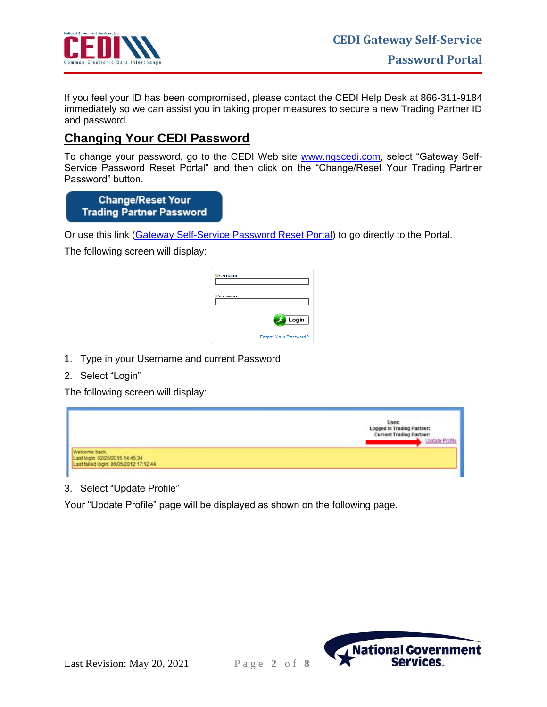

If you feel your ID has been compromised, please contact the CEDI Help Desk at 866-311-9184 immediately so we can assist you in taking proper measures to secure a new Trading Partner ID and password.

## <span id="page-1-0"></span>**Changing Your CEDI Password**

To change your password, go to the CEDI Web site **www.ngscedi.com**, select "Gateway Self-Service Password Reset Portal" and then click on the "Change/Reset Your Trading Partner Password" button.

**Change/Reset Your Trading Partner Password** 

Or use this link [\(Gateway Self-Service Password Reset Portal\)](https://pwr.ngscedi.com/authentication) to go directly to the Portal.

The following screen will display:

| <b>Username</b> |                       |
|-----------------|-----------------------|
| Password        |                       |
|                 | Login                 |
|                 | Forgot Your Password? |

- 1. Type in your Username and current Password
- 2. Select "Login"

The following screen will display:



3. Select "Update Profile"

Your "Update Profile" page will be displayed as shown on the following page.



Last Revision: May 20, 2021 P a g e **2** o f **8**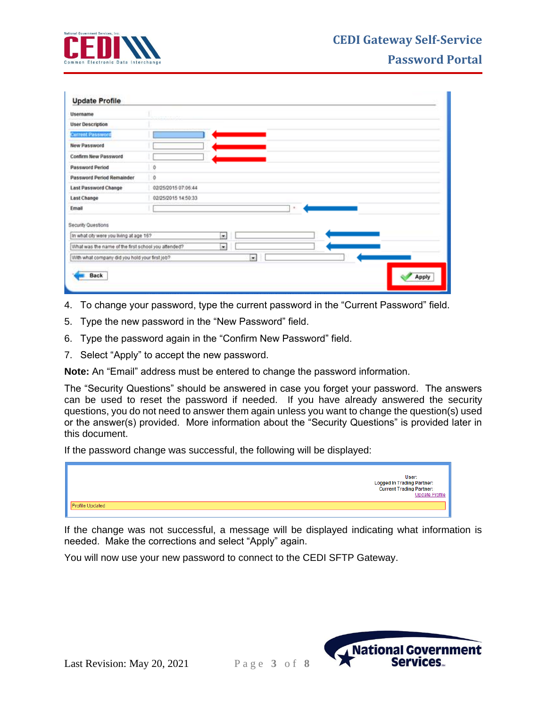

| Username                                            |                          |
|-----------------------------------------------------|--------------------------|
| <b>User Description</b>                             |                          |
| <b>Current Password</b>                             |                          |
| New Password                                        |                          |
| Confirm New Password                                |                          |
| <b>Password Period</b>                              | $\theta$                 |
| Password Period Remainder                           | $\mathfrak o$            |
| <b>Last Password Change</b>                         | 02/25/2015 07:06:44      |
| <b>Last Change</b>                                  | 02/25/2015 14:50:33      |
| Email                                               |                          |
| Security Questions                                  |                          |
| In what city were you living at age 167             | $\overline{\phantom{0}}$ |
| What was the name of the first school you attended? | $\overline{\phantom{0}}$ |
| With what company did you hold your first job?      | $\bullet$                |

- 4. To change your password, type the current password in the "Current Password" field.
- 5. Type the new password in the "New Password" field.
- 6. Type the password again in the "Confirm New Password" field.
- 7. Select "Apply" to accept the new password.

**Note:** An "Email" address must be entered to change the password information.

The "Security Questions" should be answered in case you forget your password. The answers can be used to reset the password if needed. If you have already answered the security questions, you do not need to answer them again unless you want to change the question(s) used or the answer(s) provided. More information about the "Security Questions" is provided later in this document.

If the password change was successful, the following will be displayed:

|                 | User:<br>Logged In Trading Partner:<br>Current Trading Partner:<br>Update Profile |
|-----------------|-----------------------------------------------------------------------------------|
| Profile Updated |                                                                                   |
|                 |                                                                                   |

If the change was not successful, a message will be displayed indicating what information is needed. Make the corrections and select "Apply" again.

You will now use your new password to connect to the CEDI SFTP Gateway.

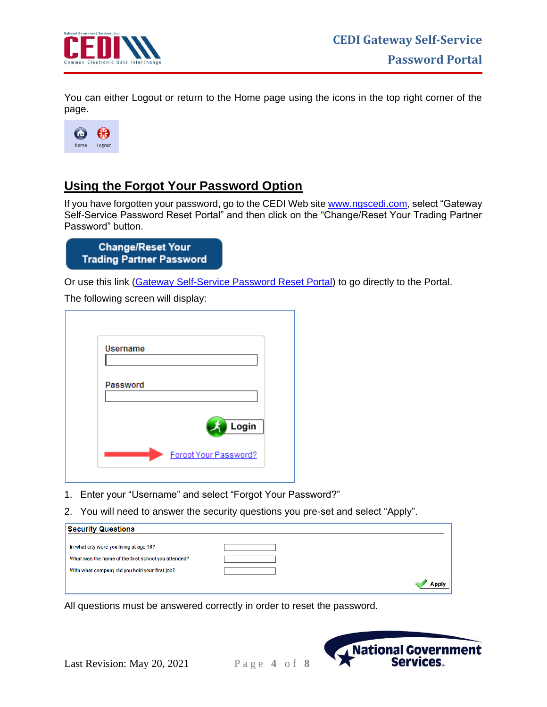

You can either Logout or return to the Home page using the icons in the top right corner of the page.



## <span id="page-3-0"></span>**Using the Forgot Your Password Option**

If you have forgotten your password, go to the CEDI Web site [www.ngscedi.com,](http://www.ngscedi.com/) select "Gateway Self-Service Password Reset Portal" and then click on the "Change/Reset Your Trading Partner Password" button.

| <b>Change/Reset Your</b>        |  |  |
|---------------------------------|--|--|
| <b>Trading Partner Password</b> |  |  |

Or use this link [\(Gateway Self-Service Password Reset Portal\)](https://pwr.ngscedi.com/authentication) to go directly to the Portal.

The following screen will display:

| <b>Username</b> |                       |
|-----------------|-----------------------|
|                 |                       |
| Password        |                       |
|                 |                       |
|                 | Login                 |
|                 | Forgot Your Password? |

- 1. Enter your "Username" and select "Forgot Your Password?"
- 2. You will need to answer the security questions you pre-set and select "Apply".

| <b>Security Questions</b>                           |       |
|-----------------------------------------------------|-------|
|                                                     |       |
| In what city were you living at age 16?             |       |
| What was the name of the first school you attended? |       |
| With what company did you hold your first job?      |       |
|                                                     | \nnl\ |

All questions must be answered correctly in order to reset the password.

Last Revision: May 20, 2021 P a g e **4** o f **8**

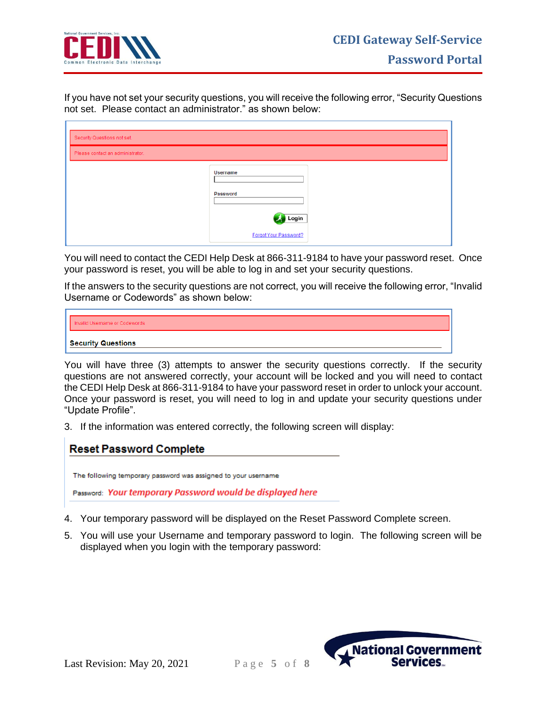

If you have not set your security questions, you will receive the following error, "Security Questions not set. Please contact an administrator." as shown below:

| Security Questions not set.      |                                                               |  |
|----------------------------------|---------------------------------------------------------------|--|
| Please contact an administrator. |                                                               |  |
|                                  | <b>Username</b><br>Password<br>Login<br>Forgot Your Password? |  |

You will need to contact the CEDI Help Desk at 866-311-9184 to have your password reset. Once your password is reset, you will be able to log in and set your security questions.

If the answers to the security questions are not correct, you will receive the following error, "Invalid Username or Codewords" as shown below:



You will have three (3) attempts to answer the security questions correctly. If the security questions are not answered correctly, your account will be locked and you will need to contact the CEDI Help Desk at 866-311-9184 to have your password reset in order to unlock your account. Once your password is reset, you will need to log in and update your security questions under "Update Profile".

3. If the information was entered correctly, the following screen will display:

| <b>Reset Password Complete</b> |  |
|--------------------------------|--|
|                                |  |

The following temporary password was assigned to your username

Password: Your temporary Password would be displayed here

- 4. Your temporary password will be displayed on the Reset Password Complete screen.
- 5. You will use your Username and temporary password to login. The following screen will be displayed when you login with the temporary password:



Last Revision: May 20, 2021 P a g e **5** o f **8**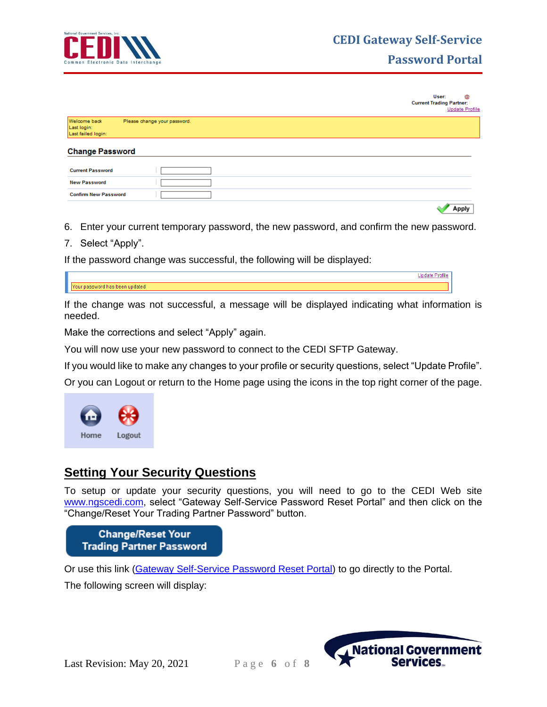

**Password Portal**

|                                                   |                              | User:<br>Q<br><b>Current Trading Partner:</b><br><b>Update Profile</b> |
|---------------------------------------------------|------------------------------|------------------------------------------------------------------------|
| Welcome back<br>Last login:<br>Last failed login: | Please change your password. |                                                                        |
| <b>Change Password</b>                            |                              |                                                                        |
| <b>Current Password</b>                           |                              |                                                                        |
| <b>New Password</b>                               |                              |                                                                        |
| <b>Confirm New Password</b>                       |                              |                                                                        |
|                                                   |                              | Apply                                                                  |

- 6. Enter your current temporary password, the new password, and confirm the new password.
- 7. Select "Apply".

If the password change was successful, the following will be displayed:

If the change was not successful, a message will be displayed indicating what information is needed.

Make the corrections and select "Apply" again.

You will now use your new password to connect to the CEDI SFTP Gateway.

If you would like to make any changes to your profile or security questions, select "Update Profile".

Or you can Logout or return to the Home page using the icons in the top right corner of the page.



### <span id="page-5-0"></span>**Setting Your Security Questions**

To setup or update your security questions, you will need to go to the CEDI Web site [www.ngscedi.com,](http://www.ngscedi.com/) select "Gateway Self-Service Password Reset Portal" and then click on the "Change/Reset Your Trading Partner Password" button.

**Change/Reset Your Trading Partner Password** 

Or use this link [\(Gateway Self-Service Password Reset Portal\)](https://pwr.ngscedi.com/authentication) to go directly to the Portal.

The following screen will display:



Last Revision: May 20, 2021 P a g e **6** o f **8**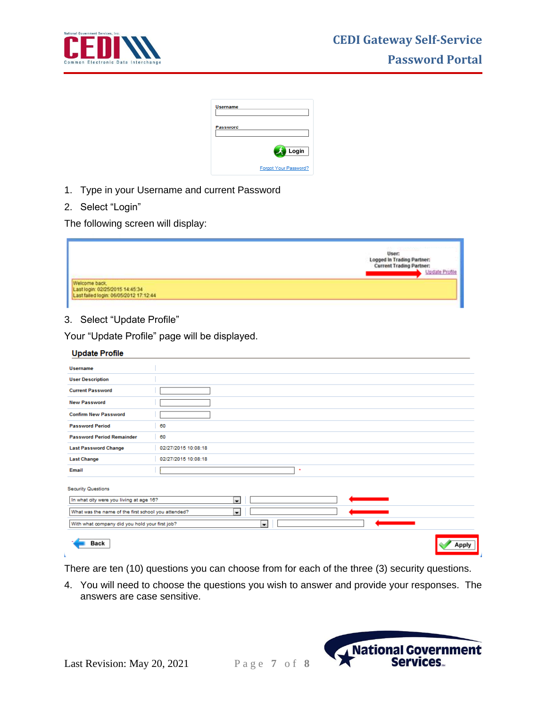

| <b>Username</b> |                       |
|-----------------|-----------------------|
| Password        |                       |
|                 | Login                 |
|                 | Forgot Your Password? |

- 1. Type in your Username and current Password
- 2. Select "Login"

The following screen will display:

|                                                                                            | 003339999<br>User:<br>Logged In Trading Partner:<br><b>Current Trading Partner:</b><br>Update Profile |
|--------------------------------------------------------------------------------------------|-------------------------------------------------------------------------------------------------------|
| Welcome back.<br>Last login: 02/25/2015 14:45:34<br>Last failed login: 06/05/2012 17:12:44 |                                                                                                       |

### 3. Select "Update Profile"

Your "Update Profile" page will be displayed.

| <b>Update Profile</b>                               |                     |       |
|-----------------------------------------------------|---------------------|-------|
| <b>Username</b>                                     |                     |       |
| <b>User Description</b>                             |                     |       |
| <b>Current Password</b>                             |                     |       |
| <b>New Password</b>                                 |                     |       |
| <b>Confirm New Password</b>                         |                     |       |
| <b>Password Period</b>                              | 60                  |       |
| <b>Password Period Remainder</b>                    | 60                  |       |
| <b>Last Password Change</b>                         | 02/27/2015 10:08:18 |       |
| <b>Last Change</b>                                  | 02/27/2015 10:08:18 |       |
| Email                                               | ٠                   |       |
| <b>Security Questions</b>                           |                     |       |
| In what city were you living at age 16?             | $\blacksquare$      |       |
| What was the name of the first school you attended? | $\blacksquare$      |       |
| With what company did you hold your first job?      | $\blacksquare$      |       |
| Back                                                |                     | Apply |

There are ten (10) questions you can choose from for each of the three (3) security questions.

4. You will need to choose the questions you wish to answer and provide your responses. The answers are case sensitive.